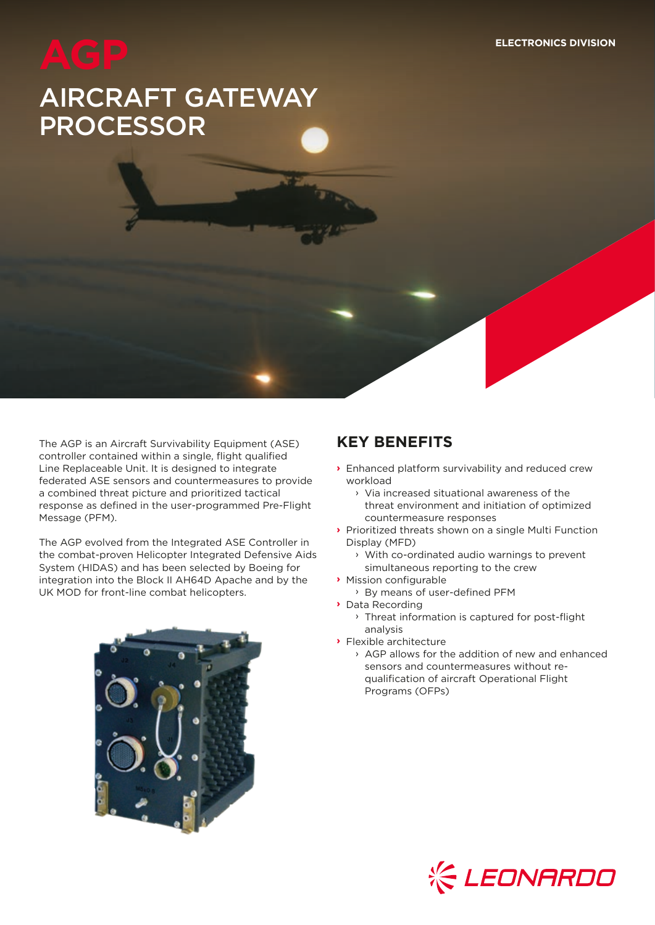# AIRCRAFT GATEWAY PROCESSOR

The AGP is an Aircraft Survivability Equipment (ASE) controller contained within a single, flight qualified Line Replaceable Unit. It is designed to integrate federated ASE sensors and countermeasures to provide a combined threat picture and prioritized tactical response as defined in the user-programmed Pre-Flight Message (PFM).

The AGP evolved from the Integrated ASE Controller in the combat-proven Helicopter Integrated Defensive Aids System (HIDAS) and has been selected by Boeing for integration into the Block II AH64D Apache and by the UK MOD for front-line combat helicopters.



# **KEY BENEFITS**

- **›** Enhanced platform survivability and reduced crew workload
	- › Via increased situational awareness of the threat environment and initiation of optimized countermeasure responses
- **›** Prioritized threats shown on a single Multi Function Display (MFD)
	- › With co-ordinated audio warnings to prevent simultaneous reporting to the crew
- **›** Mission configurable
	- › By means of user-defined PFM
- **›** Data Recording
	- › Threat information is captured for post-flight analysis
- **›** Flexible architecture
	- › AGP allows for the addition of new and enhanced sensors and countermeasures without requalification of aircraft Operational Flight Programs (OFPs)